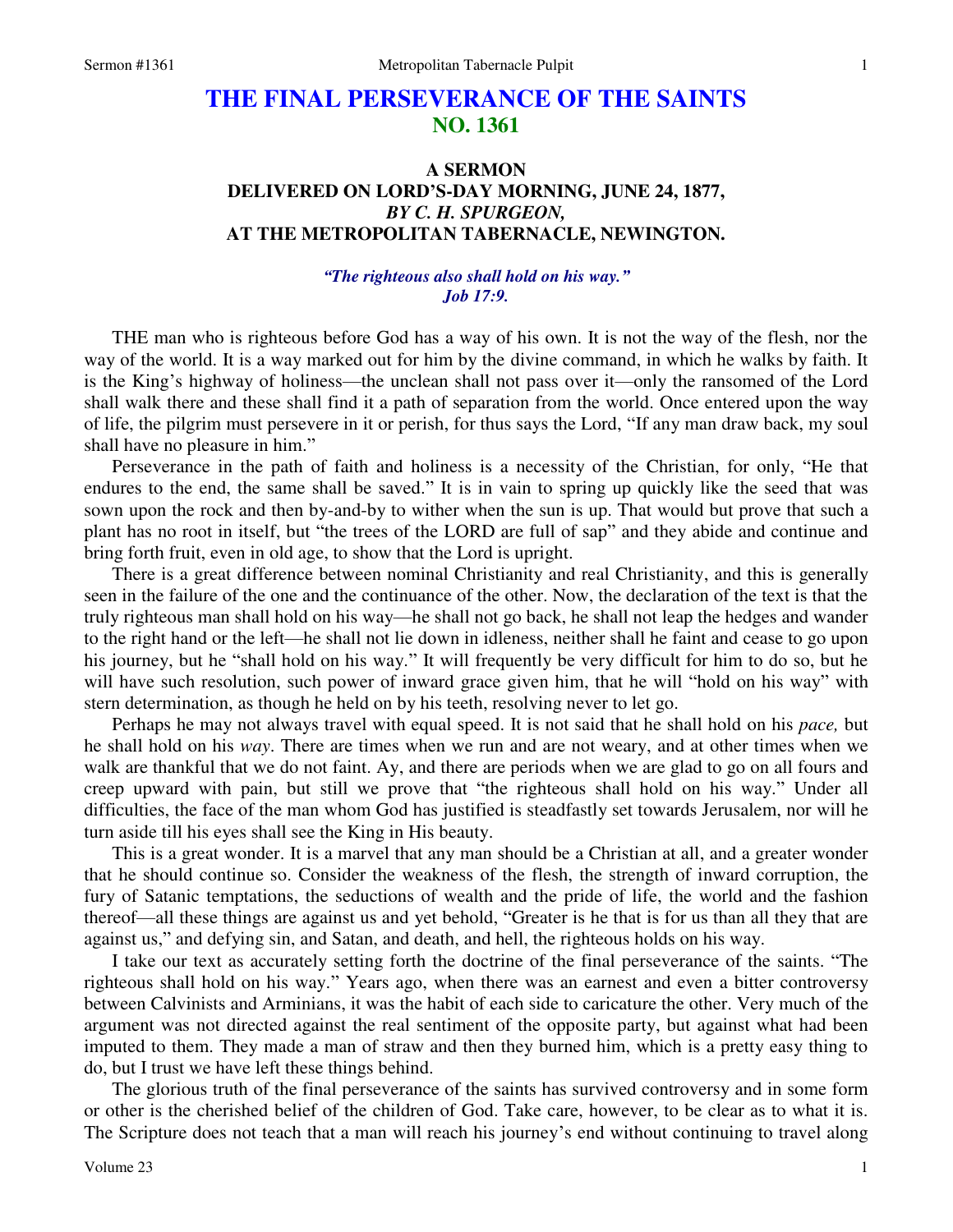# **THE FINAL PERSEVERANCE OF THE SAINTS NO. 1361**

## **A SERMON DELIVERED ON LORD'S-DAY MORNING, JUNE 24, 1877,**  *BY C. H. SPURGEON,*  **AT THE METROPOLITAN TABERNACLE, NEWINGTON.**

## *"The righteous also shall hold on his way." Job 17:9.*

THE man who is righteous before God has a way of his own. It is not the way of the flesh, nor the way of the world. It is a way marked out for him by the divine command, in which he walks by faith. It is the King's highway of holiness—the unclean shall not pass over it—only the ransomed of the Lord shall walk there and these shall find it a path of separation from the world. Once entered upon the way of life, the pilgrim must persevere in it or perish, for thus says the Lord, "If any man draw back, my soul shall have no pleasure in him."

Perseverance in the path of faith and holiness is a necessity of the Christian, for only, "He that endures to the end, the same shall be saved." It is in vain to spring up quickly like the seed that was sown upon the rock and then by-and-by to wither when the sun is up. That would but prove that such a plant has no root in itself, but "the trees of the LORD are full of sap" and they abide and continue and bring forth fruit, even in old age, to show that the Lord is upright.

There is a great difference between nominal Christianity and real Christianity, and this is generally seen in the failure of the one and the continuance of the other. Now, the declaration of the text is that the truly righteous man shall hold on his way—he shall not go back, he shall not leap the hedges and wander to the right hand or the left—he shall not lie down in idleness, neither shall he faint and cease to go upon his journey, but he "shall hold on his way." It will frequently be very difficult for him to do so, but he will have such resolution, such power of inward grace given him, that he will "hold on his way" with stern determination, as though he held on by his teeth, resolving never to let go.

Perhaps he may not always travel with equal speed. It is not said that he shall hold on his *pace,* but he shall hold on his *way*. There are times when we run and are not weary, and at other times when we walk are thankful that we do not faint. Ay, and there are periods when we are glad to go on all fours and creep upward with pain, but still we prove that "the righteous shall hold on his way." Under all difficulties, the face of the man whom God has justified is steadfastly set towards Jerusalem, nor will he turn aside till his eyes shall see the King in His beauty.

This is a great wonder. It is a marvel that any man should be a Christian at all, and a greater wonder that he should continue so. Consider the weakness of the flesh, the strength of inward corruption, the fury of Satanic temptations, the seductions of wealth and the pride of life, the world and the fashion thereof—all these things are against us and yet behold, "Greater is he that is for us than all they that are against us," and defying sin, and Satan, and death, and hell, the righteous holds on his way.

I take our text as accurately setting forth the doctrine of the final perseverance of the saints. "The righteous shall hold on his way." Years ago, when there was an earnest and even a bitter controversy between Calvinists and Arminians, it was the habit of each side to caricature the other. Very much of the argument was not directed against the real sentiment of the opposite party, but against what had been imputed to them. They made a man of straw and then they burned him, which is a pretty easy thing to do, but I trust we have left these things behind.

The glorious truth of the final perseverance of the saints has survived controversy and in some form or other is the cherished belief of the children of God. Take care, however, to be clear as to what it is. The Scripture does not teach that a man will reach his journey's end without continuing to travel along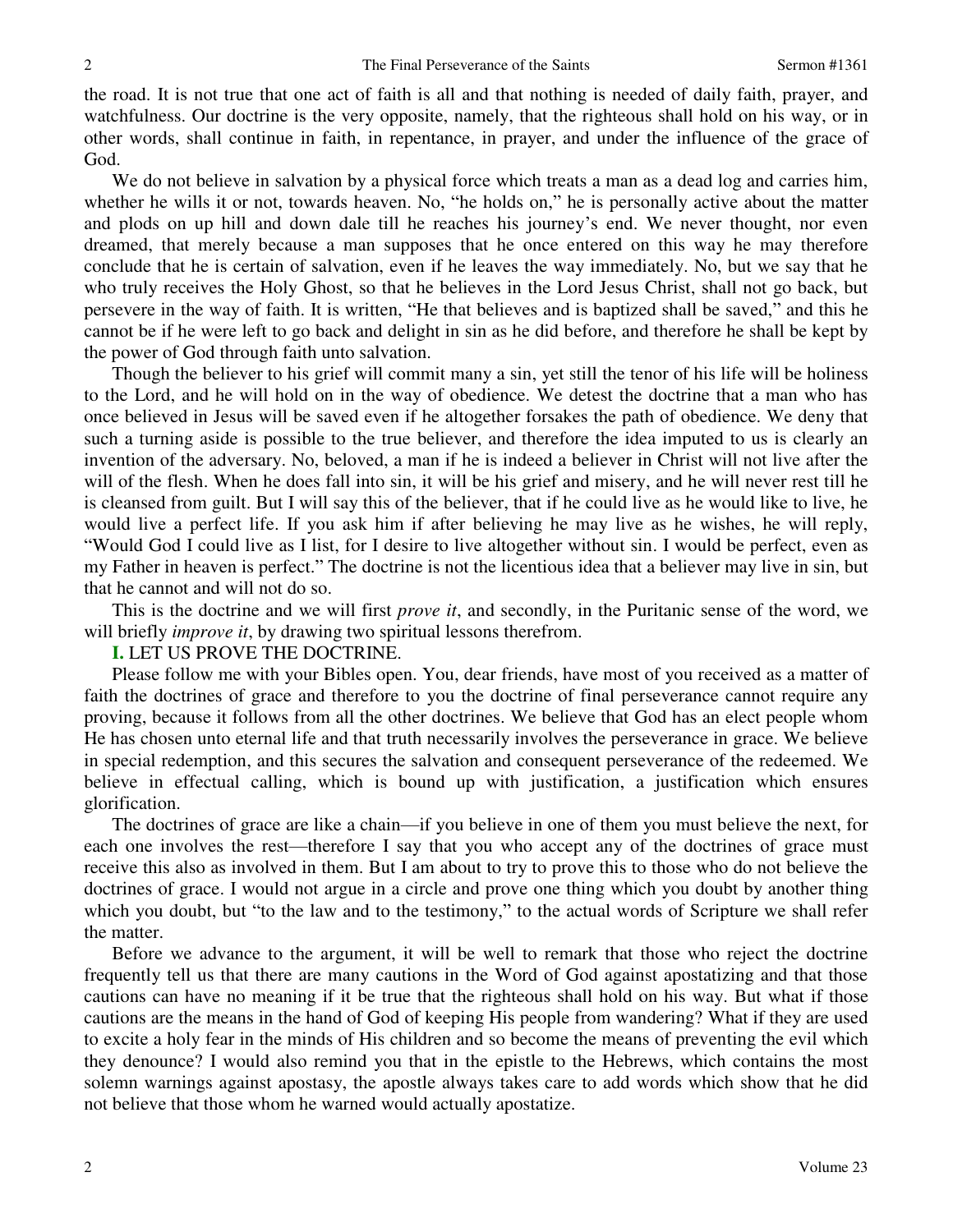the road. It is not true that one act of faith is all and that nothing is needed of daily faith, prayer, and watchfulness. Our doctrine is the very opposite, namely, that the righteous shall hold on his way, or in other words, shall continue in faith, in repentance, in prayer, and under the influence of the grace of God.

We do not believe in salvation by a physical force which treats a man as a dead log and carries him, whether he wills it or not, towards heaven. No, "he holds on," he is personally active about the matter and plods on up hill and down dale till he reaches his journey's end. We never thought, nor even dreamed, that merely because a man supposes that he once entered on this way he may therefore conclude that he is certain of salvation, even if he leaves the way immediately. No, but we say that he who truly receives the Holy Ghost, so that he believes in the Lord Jesus Christ, shall not go back, but persevere in the way of faith. It is written, "He that believes and is baptized shall be saved," and this he cannot be if he were left to go back and delight in sin as he did before, and therefore he shall be kept by the power of God through faith unto salvation.

Though the believer to his grief will commit many a sin, yet still the tenor of his life will be holiness to the Lord, and he will hold on in the way of obedience. We detest the doctrine that a man who has once believed in Jesus will be saved even if he altogether forsakes the path of obedience. We deny that such a turning aside is possible to the true believer, and therefore the idea imputed to us is clearly an invention of the adversary. No, beloved, a man if he is indeed a believer in Christ will not live after the will of the flesh. When he does fall into sin, it will be his grief and misery, and he will never rest till he is cleansed from guilt. But I will say this of the believer, that if he could live as he would like to live, he would live a perfect life. If you ask him if after believing he may live as he wishes, he will reply, "Would God I could live as I list, for I desire to live altogether without sin. I would be perfect, even as my Father in heaven is perfect." The doctrine is not the licentious idea that a believer may live in sin, but that he cannot and will not do so.

This is the doctrine and we will first *prove it*, and secondly, in the Puritanic sense of the word, we will briefly *improve it*, by drawing two spiritual lessons therefrom.

### **I.** LET US PROVE THE DOCTRINE.

Please follow me with your Bibles open. You, dear friends, have most of you received as a matter of faith the doctrines of grace and therefore to you the doctrine of final perseverance cannot require any proving, because it follows from all the other doctrines. We believe that God has an elect people whom He has chosen unto eternal life and that truth necessarily involves the perseverance in grace. We believe in special redemption, and this secures the salvation and consequent perseverance of the redeemed. We believe in effectual calling, which is bound up with justification, a justification which ensures glorification.

The doctrines of grace are like a chain—if you believe in one of them you must believe the next, for each one involves the rest—therefore I say that you who accept any of the doctrines of grace must receive this also as involved in them. But I am about to try to prove this to those who do not believe the doctrines of grace. I would not argue in a circle and prove one thing which you doubt by another thing which you doubt, but "to the law and to the testimony," to the actual words of Scripture we shall refer the matter.

Before we advance to the argument, it will be well to remark that those who reject the doctrine frequently tell us that there are many cautions in the Word of God against apostatizing and that those cautions can have no meaning if it be true that the righteous shall hold on his way. But what if those cautions are the means in the hand of God of keeping His people from wandering? What if they are used to excite a holy fear in the minds of His children and so become the means of preventing the evil which they denounce? I would also remind you that in the epistle to the Hebrews, which contains the most solemn warnings against apostasy, the apostle always takes care to add words which show that he did not believe that those whom he warned would actually apostatize.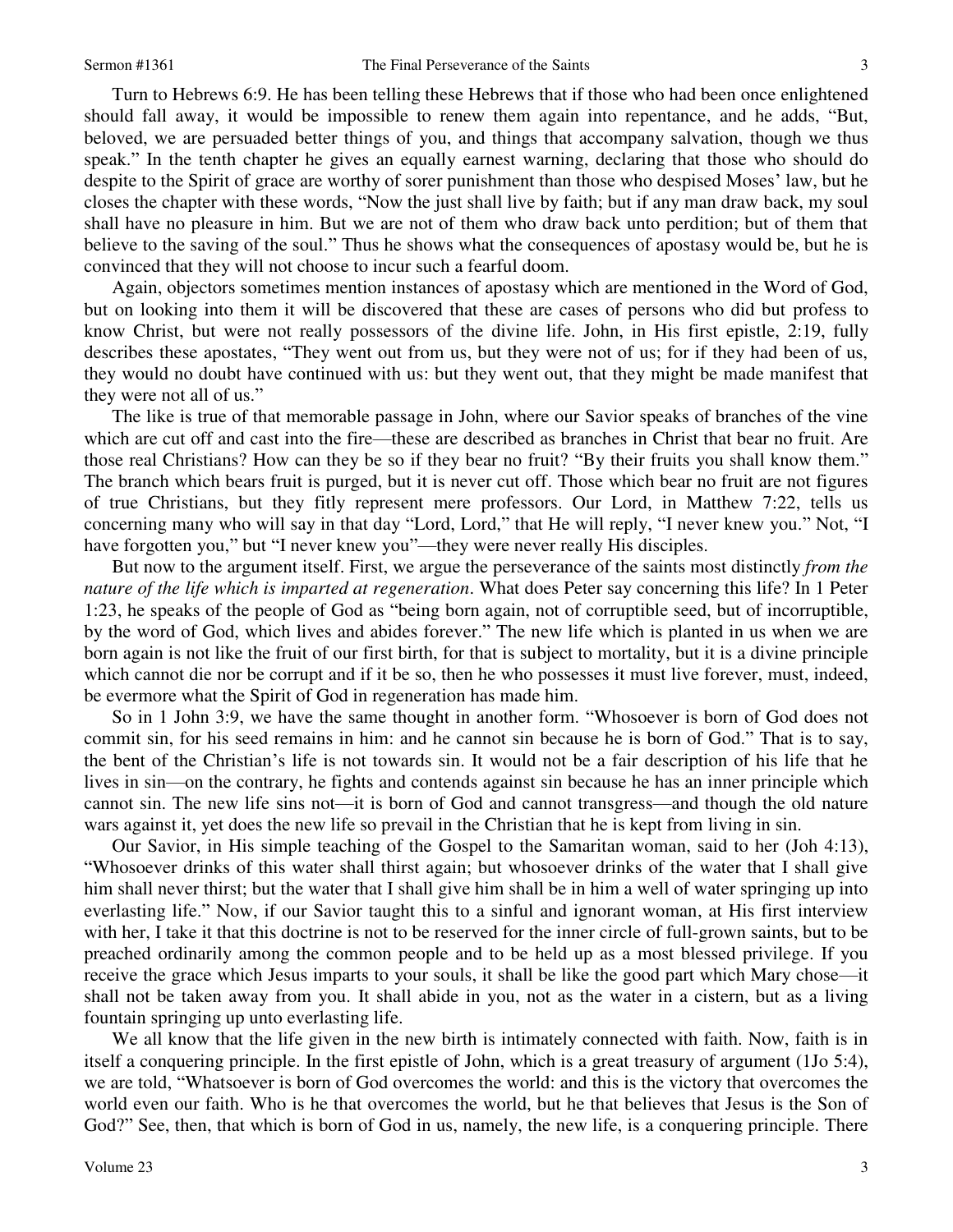Turn to Hebrews 6:9. He has been telling these Hebrews that if those who had been once enlightened should fall away, it would be impossible to renew them again into repentance, and he adds, "But, beloved, we are persuaded better things of you, and things that accompany salvation, though we thus speak." In the tenth chapter he gives an equally earnest warning, declaring that those who should do despite to the Spirit of grace are worthy of sorer punishment than those who despised Moses' law, but he closes the chapter with these words, "Now the just shall live by faith; but if any man draw back, my soul shall have no pleasure in him. But we are not of them who draw back unto perdition; but of them that believe to the saving of the soul." Thus he shows what the consequences of apostasy would be, but he is convinced that they will not choose to incur such a fearful doom.

Again, objectors sometimes mention instances of apostasy which are mentioned in the Word of God, but on looking into them it will be discovered that these are cases of persons who did but profess to know Christ, but were not really possessors of the divine life. John, in His first epistle, 2:19, fully describes these apostates, "They went out from us, but they were not of us; for if they had been of us, they would no doubt have continued with us: but they went out, that they might be made manifest that they were not all of us."

The like is true of that memorable passage in John, where our Savior speaks of branches of the vine which are cut off and cast into the fire—these are described as branches in Christ that bear no fruit. Are those real Christians? How can they be so if they bear no fruit? "By their fruits you shall know them." The branch which bears fruit is purged, but it is never cut off. Those which bear no fruit are not figures of true Christians, but they fitly represent mere professors. Our Lord, in Matthew 7:22, tells us concerning many who will say in that day "Lord, Lord," that He will reply, "I never knew you." Not, "I have forgotten you," but "I never knew you"—they were never really His disciples.

But now to the argument itself. First, we argue the perseverance of the saints most distinctly *from the nature of the life which is imparted at regeneration*. What does Peter say concerning this life? In 1 Peter 1:23, he speaks of the people of God as "being born again, not of corruptible seed, but of incorruptible, by the word of God, which lives and abides forever." The new life which is planted in us when we are born again is not like the fruit of our first birth, for that is subject to mortality, but it is a divine principle which cannot die nor be corrupt and if it be so, then he who possesses it must live forever, must, indeed, be evermore what the Spirit of God in regeneration has made him.

So in 1 John 3:9, we have the same thought in another form. "Whosoever is born of God does not commit sin, for his seed remains in him: and he cannot sin because he is born of God." That is to say, the bent of the Christian's life is not towards sin. It would not be a fair description of his life that he lives in sin—on the contrary, he fights and contends against sin because he has an inner principle which cannot sin. The new life sins not—it is born of God and cannot transgress—and though the old nature wars against it, yet does the new life so prevail in the Christian that he is kept from living in sin.

Our Savior, in His simple teaching of the Gospel to the Samaritan woman, said to her (Joh 4:13), "Whosoever drinks of this water shall thirst again; but whosoever drinks of the water that I shall give him shall never thirst; but the water that I shall give him shall be in him a well of water springing up into everlasting life." Now, if our Savior taught this to a sinful and ignorant woman, at His first interview with her, I take it that this doctrine is not to be reserved for the inner circle of full-grown saints, but to be preached ordinarily among the common people and to be held up as a most blessed privilege. If you receive the grace which Jesus imparts to your souls, it shall be like the good part which Mary chose—it shall not be taken away from you. It shall abide in you, not as the water in a cistern, but as a living fountain springing up unto everlasting life.

We all know that the life given in the new birth is intimately connected with faith. Now, faith is in itself a conquering principle. In the first epistle of John, which is a great treasury of argument (1Jo 5:4), we are told, "Whatsoever is born of God overcomes the world: and this is the victory that overcomes the world even our faith. Who is he that overcomes the world, but he that believes that Jesus is the Son of God?" See, then, that which is born of God in us, namely, the new life, is a conquering principle. There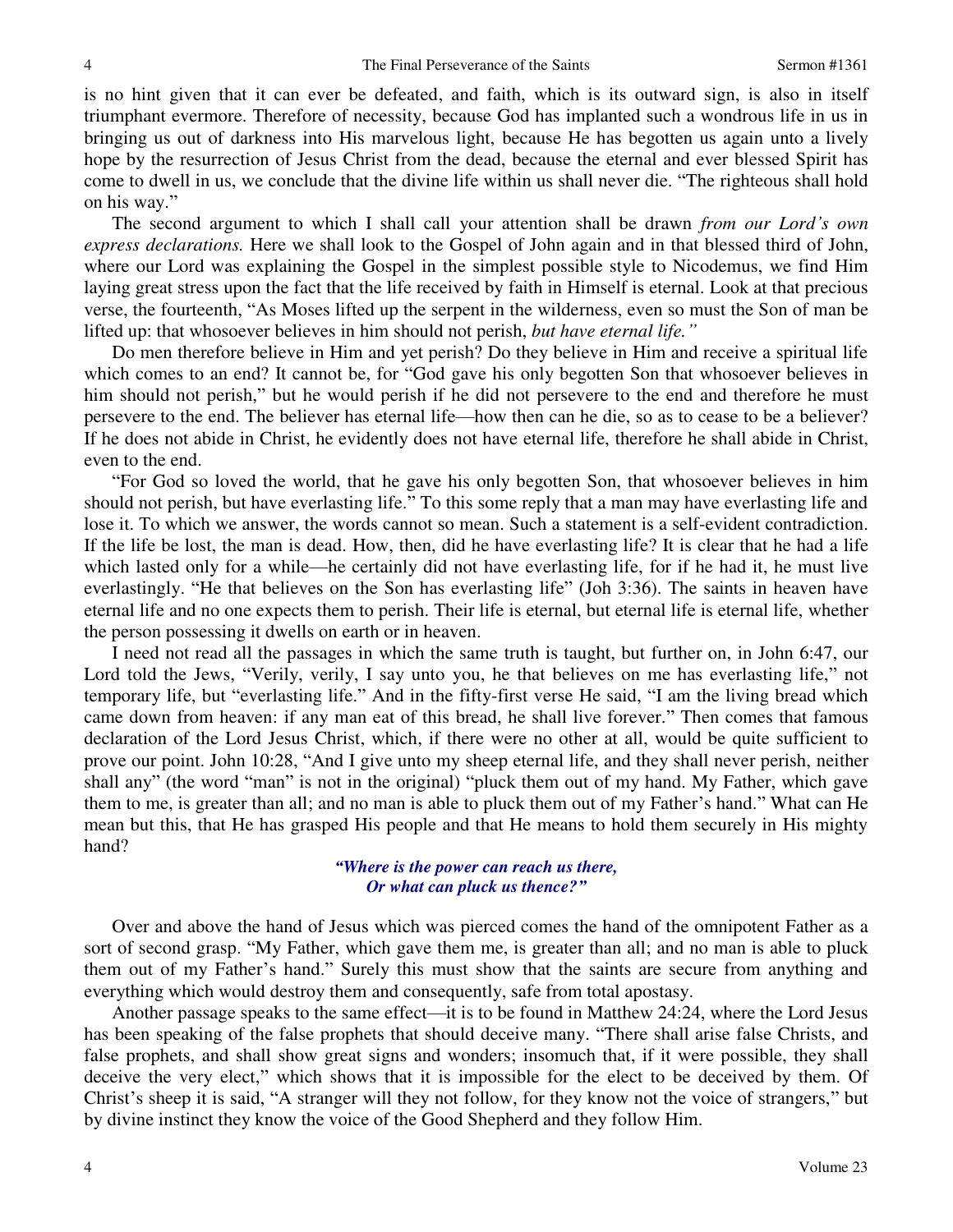is no hint given that it can ever be defeated, and faith, which is its outward sign, is also in itself triumphant evermore. Therefore of necessity, because God has implanted such a wondrous life in us in bringing us out of darkness into His marvelous light, because He has begotten us again unto a lively hope by the resurrection of Jesus Christ from the dead, because the eternal and ever blessed Spirit has come to dwell in us, we conclude that the divine life within us shall never die. "The righteous shall hold on his way."

The second argument to which I shall call your attention shall be drawn *from our Lord's own express declarations.* Here we shall look to the Gospel of John again and in that blessed third of John, where our Lord was explaining the Gospel in the simplest possible style to Nicodemus, we find Him laying great stress upon the fact that the life received by faith in Himself is eternal. Look at that precious verse, the fourteenth, "As Moses lifted up the serpent in the wilderness, even so must the Son of man be lifted up: that whosoever believes in him should not perish, *but have eternal life."*

Do men therefore believe in Him and yet perish? Do they believe in Him and receive a spiritual life which comes to an end? It cannot be, for "God gave his only begotten Son that whosoever believes in him should not perish," but he would perish if he did not persevere to the end and therefore he must persevere to the end. The believer has eternal life—how then can he die, so as to cease to be a believer? If he does not abide in Christ, he evidently does not have eternal life, therefore he shall abide in Christ, even to the end.

"For God so loved the world, that he gave his only begotten Son, that whosoever believes in him should not perish, but have everlasting life." To this some reply that a man may have everlasting life and lose it. To which we answer, the words cannot so mean. Such a statement is a self-evident contradiction. If the life be lost, the man is dead. How, then, did he have everlasting life? It is clear that he had a life which lasted only for a while—he certainly did not have everlasting life, for if he had it, he must live everlastingly. "He that believes on the Son has everlasting life" (Joh 3:36). The saints in heaven have eternal life and no one expects them to perish. Their life is eternal, but eternal life is eternal life, whether the person possessing it dwells on earth or in heaven.

I need not read all the passages in which the same truth is taught, but further on, in John 6:47, our Lord told the Jews, "Verily, verily, I say unto you, he that believes on me has everlasting life," not temporary life, but "everlasting life." And in the fifty-first verse He said, "I am the living bread which came down from heaven: if any man eat of this bread, he shall live forever." Then comes that famous declaration of the Lord Jesus Christ, which, if there were no other at all, would be quite sufficient to prove our point. John 10:28, "And I give unto my sheep eternal life, and they shall never perish, neither shall any" (the word "man" is not in the original) "pluck them out of my hand. My Father, which gave them to me, is greater than all; and no man is able to pluck them out of my Father's hand." What can He mean but this, that He has grasped His people and that He means to hold them securely in His mighty hand?

#### *"Where is the power can reach us there, Or what can pluck us thence?"*

Over and above the hand of Jesus which was pierced comes the hand of the omnipotent Father as a sort of second grasp. "My Father, which gave them me, is greater than all; and no man is able to pluck them out of my Father's hand." Surely this must show that the saints are secure from anything and everything which would destroy them and consequently, safe from total apostasy.

Another passage speaks to the same effect—it is to be found in Matthew 24:24, where the Lord Jesus has been speaking of the false prophets that should deceive many. "There shall arise false Christs, and false prophets, and shall show great signs and wonders; insomuch that, if it were possible, they shall deceive the very elect," which shows that it is impossible for the elect to be deceived by them. Of Christ's sheep it is said, "A stranger will they not follow, for they know not the voice of strangers," but by divine instinct they know the voice of the Good Shepherd and they follow Him.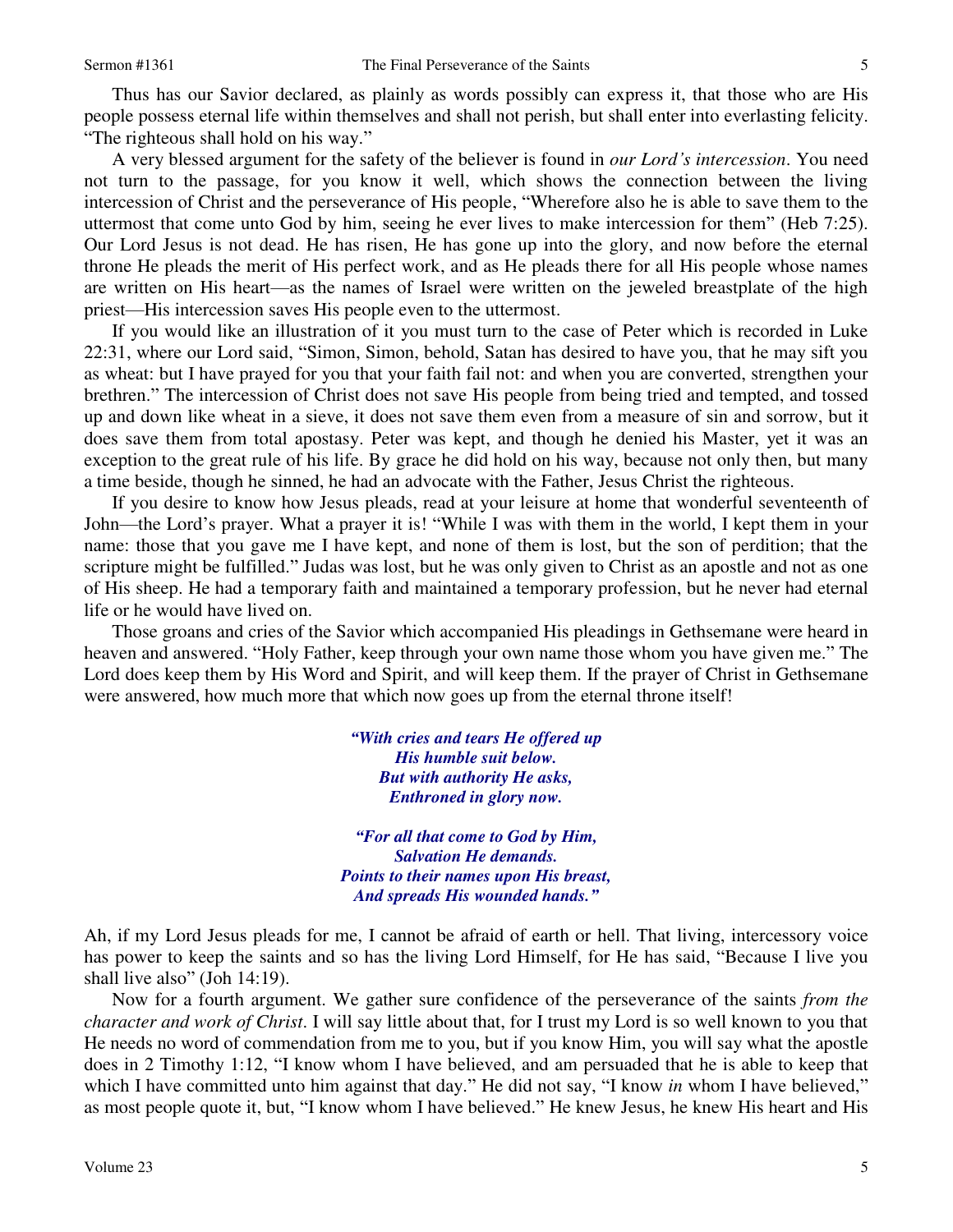Thus has our Savior declared, as plainly as words possibly can express it, that those who are His people possess eternal life within themselves and shall not perish, but shall enter into everlasting felicity. "The righteous shall hold on his way."

A very blessed argument for the safety of the believer is found in *our Lord's intercession*. You need not turn to the passage, for you know it well, which shows the connection between the living intercession of Christ and the perseverance of His people, "Wherefore also he is able to save them to the uttermost that come unto God by him, seeing he ever lives to make intercession for them" (Heb 7:25). Our Lord Jesus is not dead. He has risen, He has gone up into the glory, and now before the eternal throne He pleads the merit of His perfect work, and as He pleads there for all His people whose names are written on His heart—as the names of Israel were written on the jeweled breastplate of the high priest—His intercession saves His people even to the uttermost.

If you would like an illustration of it you must turn to the case of Peter which is recorded in Luke 22:31, where our Lord said, "Simon, Simon, behold, Satan has desired to have you, that he may sift you as wheat: but I have prayed for you that your faith fail not: and when you are converted, strengthen your brethren." The intercession of Christ does not save His people from being tried and tempted, and tossed up and down like wheat in a sieve, it does not save them even from a measure of sin and sorrow, but it does save them from total apostasy. Peter was kept, and though he denied his Master, yet it was an exception to the great rule of his life. By grace he did hold on his way, because not only then, but many a time beside, though he sinned, he had an advocate with the Father, Jesus Christ the righteous.

If you desire to know how Jesus pleads, read at your leisure at home that wonderful seventeenth of John—the Lord's prayer. What a prayer it is! "While I was with them in the world, I kept them in your name: those that you gave me I have kept, and none of them is lost, but the son of perdition; that the scripture might be fulfilled." Judas was lost, but he was only given to Christ as an apostle and not as one of His sheep. He had a temporary faith and maintained a temporary profession, but he never had eternal life or he would have lived on.

Those groans and cries of the Savior which accompanied His pleadings in Gethsemane were heard in heaven and answered. "Holy Father, keep through your own name those whom you have given me." The Lord does keep them by His Word and Spirit, and will keep them. If the prayer of Christ in Gethsemane were answered, how much more that which now goes up from the eternal throne itself!

> *"With cries and tears He offered up His humble suit below. But with authority He asks, Enthroned in glory now.*

*"For all that come to God by Him, Salvation He demands. Points to their names upon His breast, And spreads His wounded hands."*

Ah, if my Lord Jesus pleads for me, I cannot be afraid of earth or hell. That living, intercessory voice has power to keep the saints and so has the living Lord Himself, for He has said, "Because I live you shall live also" (Joh 14:19).

Now for a fourth argument. We gather sure confidence of the perseverance of the saints *from the character and work of Christ*. I will say little about that, for I trust my Lord is so well known to you that He needs no word of commendation from me to you, but if you know Him, you will say what the apostle does in 2 Timothy 1:12, "I know whom I have believed, and am persuaded that he is able to keep that which I have committed unto him against that day." He did not say, "I know *in* whom I have believed," as most people quote it, but, "I know whom I have believed." He knew Jesus, he knew His heart and His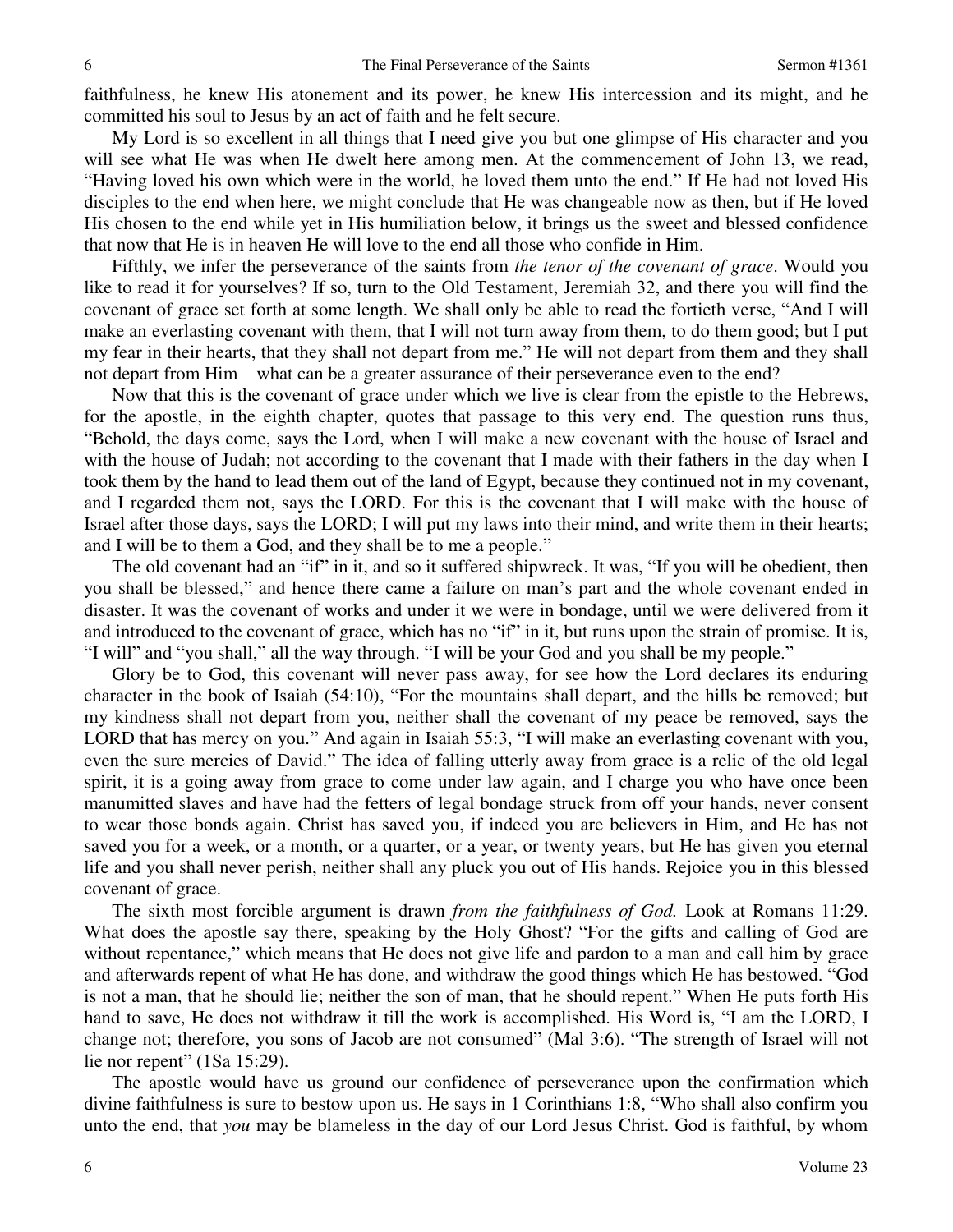faithfulness, he knew His atonement and its power, he knew His intercession and its might, and he committed his soul to Jesus by an act of faith and he felt secure.

My Lord is so excellent in all things that I need give you but one glimpse of His character and you will see what He was when He dwelt here among men. At the commencement of John 13, we read, "Having loved his own which were in the world, he loved them unto the end." If He had not loved His disciples to the end when here, we might conclude that He was changeable now as then, but if He loved His chosen to the end while yet in His humiliation below, it brings us the sweet and blessed confidence that now that He is in heaven He will love to the end all those who confide in Him.

Fifthly, we infer the perseverance of the saints from *the tenor of the covenant of grace*. Would you like to read it for yourselves? If so, turn to the Old Testament, Jeremiah 32, and there you will find the covenant of grace set forth at some length. We shall only be able to read the fortieth verse, "And I will make an everlasting covenant with them, that I will not turn away from them, to do them good; but I put my fear in their hearts, that they shall not depart from me." He will not depart from them and they shall not depart from Him—what can be a greater assurance of their perseverance even to the end?

Now that this is the covenant of grace under which we live is clear from the epistle to the Hebrews, for the apostle, in the eighth chapter, quotes that passage to this very end. The question runs thus, "Behold, the days come, says the Lord, when I will make a new covenant with the house of Israel and with the house of Judah; not according to the covenant that I made with their fathers in the day when I took them by the hand to lead them out of the land of Egypt, because they continued not in my covenant, and I regarded them not, says the LORD. For this is the covenant that I will make with the house of Israel after those days, says the LORD; I will put my laws into their mind, and write them in their hearts; and I will be to them a God, and they shall be to me a people."

The old covenant had an "if" in it, and so it suffered shipwreck. It was, "If you will be obedient, then you shall be blessed," and hence there came a failure on man's part and the whole covenant ended in disaster. It was the covenant of works and under it we were in bondage, until we were delivered from it and introduced to the covenant of grace, which has no "if" in it, but runs upon the strain of promise. It is, "I will" and "you shall," all the way through. "I will be your God and you shall be my people."

Glory be to God, this covenant will never pass away, for see how the Lord declares its enduring character in the book of Isaiah (54:10), "For the mountains shall depart, and the hills be removed; but my kindness shall not depart from you, neither shall the covenant of my peace be removed, says the LORD that has mercy on you." And again in Isaiah 55:3, "I will make an everlasting covenant with you, even the sure mercies of David." The idea of falling utterly away from grace is a relic of the old legal spirit, it is a going away from grace to come under law again, and I charge you who have once been manumitted slaves and have had the fetters of legal bondage struck from off your hands, never consent to wear those bonds again. Christ has saved you, if indeed you are believers in Him, and He has not saved you for a week, or a month, or a quarter, or a year, or twenty years, but He has given you eternal life and you shall never perish, neither shall any pluck you out of His hands. Rejoice you in this blessed covenant of grace.

The sixth most forcible argument is drawn *from the faithfulness of God.* Look at Romans 11:29. What does the apostle say there, speaking by the Holy Ghost? "For the gifts and calling of God are without repentance," which means that He does not give life and pardon to a man and call him by grace and afterwards repent of what He has done, and withdraw the good things which He has bestowed. "God is not a man, that he should lie; neither the son of man, that he should repent." When He puts forth His hand to save, He does not withdraw it till the work is accomplished. His Word is, "I am the LORD, I change not; therefore, you sons of Jacob are not consumed" (Mal 3:6). "The strength of Israel will not lie nor repent" (1Sa 15:29).

The apostle would have us ground our confidence of perseverance upon the confirmation which divine faithfulness is sure to bestow upon us. He says in 1 Corinthians 1:8, "Who shall also confirm you unto the end, that *you* may be blameless in the day of our Lord Jesus Christ. God is faithful, by whom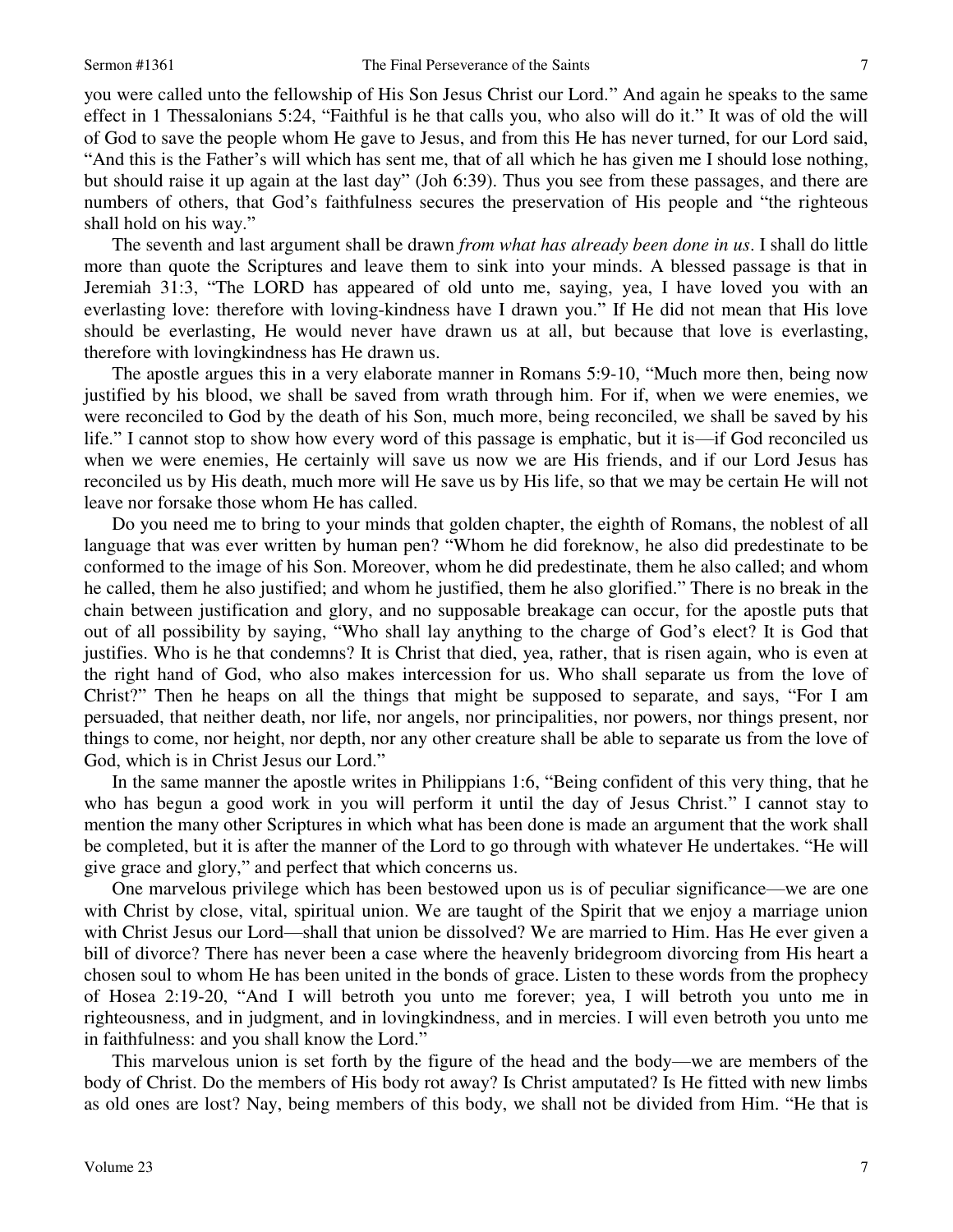you were called unto the fellowship of His Son Jesus Christ our Lord." And again he speaks to the same effect in 1 Thessalonians 5:24, "Faithful is he that calls you, who also will do it." It was of old the will of God to save the people whom He gave to Jesus, and from this He has never turned, for our Lord said, "And this is the Father's will which has sent me, that of all which he has given me I should lose nothing, but should raise it up again at the last day" (Joh 6:39). Thus you see from these passages, and there are numbers of others, that God's faithfulness secures the preservation of His people and "the righteous shall hold on his way."

The seventh and last argument shall be drawn *from what has already been done in us*. I shall do little more than quote the Scriptures and leave them to sink into your minds. A blessed passage is that in Jeremiah 31:3, "The LORD has appeared of old unto me, saying, yea, I have loved you with an everlasting love: therefore with loving-kindness have I drawn you." If He did not mean that His love should be everlasting, He would never have drawn us at all, but because that love is everlasting, therefore with lovingkindness has He drawn us.

The apostle argues this in a very elaborate manner in Romans 5:9-10, "Much more then, being now justified by his blood, we shall be saved from wrath through him. For if, when we were enemies, we were reconciled to God by the death of his Son, much more, being reconciled, we shall be saved by his life." I cannot stop to show how every word of this passage is emphatic, but it is—if God reconciled us when we were enemies, He certainly will save us now we are His friends, and if our Lord Jesus has reconciled us by His death, much more will He save us by His life, so that we may be certain He will not leave nor forsake those whom He has called.

Do you need me to bring to your minds that golden chapter, the eighth of Romans, the noblest of all language that was ever written by human pen? "Whom he did foreknow, he also did predestinate to be conformed to the image of his Son. Moreover, whom he did predestinate, them he also called; and whom he called, them he also justified; and whom he justified, them he also glorified." There is no break in the chain between justification and glory, and no supposable breakage can occur, for the apostle puts that out of all possibility by saying, "Who shall lay anything to the charge of God's elect? It is God that justifies. Who is he that condemns? It is Christ that died, yea, rather, that is risen again, who is even at the right hand of God, who also makes intercession for us. Who shall separate us from the love of Christ?" Then he heaps on all the things that might be supposed to separate, and says, "For I am persuaded, that neither death, nor life, nor angels, nor principalities, nor powers, nor things present, nor things to come, nor height, nor depth, nor any other creature shall be able to separate us from the love of God, which is in Christ Jesus our Lord."

In the same manner the apostle writes in Philippians 1:6, "Being confident of this very thing, that he who has begun a good work in you will perform it until the day of Jesus Christ." I cannot stay to mention the many other Scriptures in which what has been done is made an argument that the work shall be completed, but it is after the manner of the Lord to go through with whatever He undertakes. "He will give grace and glory," and perfect that which concerns us.

One marvelous privilege which has been bestowed upon us is of peculiar significance—we are one with Christ by close, vital, spiritual union. We are taught of the Spirit that we enjoy a marriage union with Christ Jesus our Lord—shall that union be dissolved? We are married to Him. Has He ever given a bill of divorce? There has never been a case where the heavenly bridegroom divorcing from His heart a chosen soul to whom He has been united in the bonds of grace. Listen to these words from the prophecy of Hosea 2:19-20, "And I will betroth you unto me forever; yea, I will betroth you unto me in righteousness, and in judgment, and in lovingkindness, and in mercies. I will even betroth you unto me in faithfulness: and you shall know the Lord."

This marvelous union is set forth by the figure of the head and the body—we are members of the body of Christ. Do the members of His body rot away? Is Christ amputated? Is He fitted with new limbs as old ones are lost? Nay, being members of this body, we shall not be divided from Him. "He that is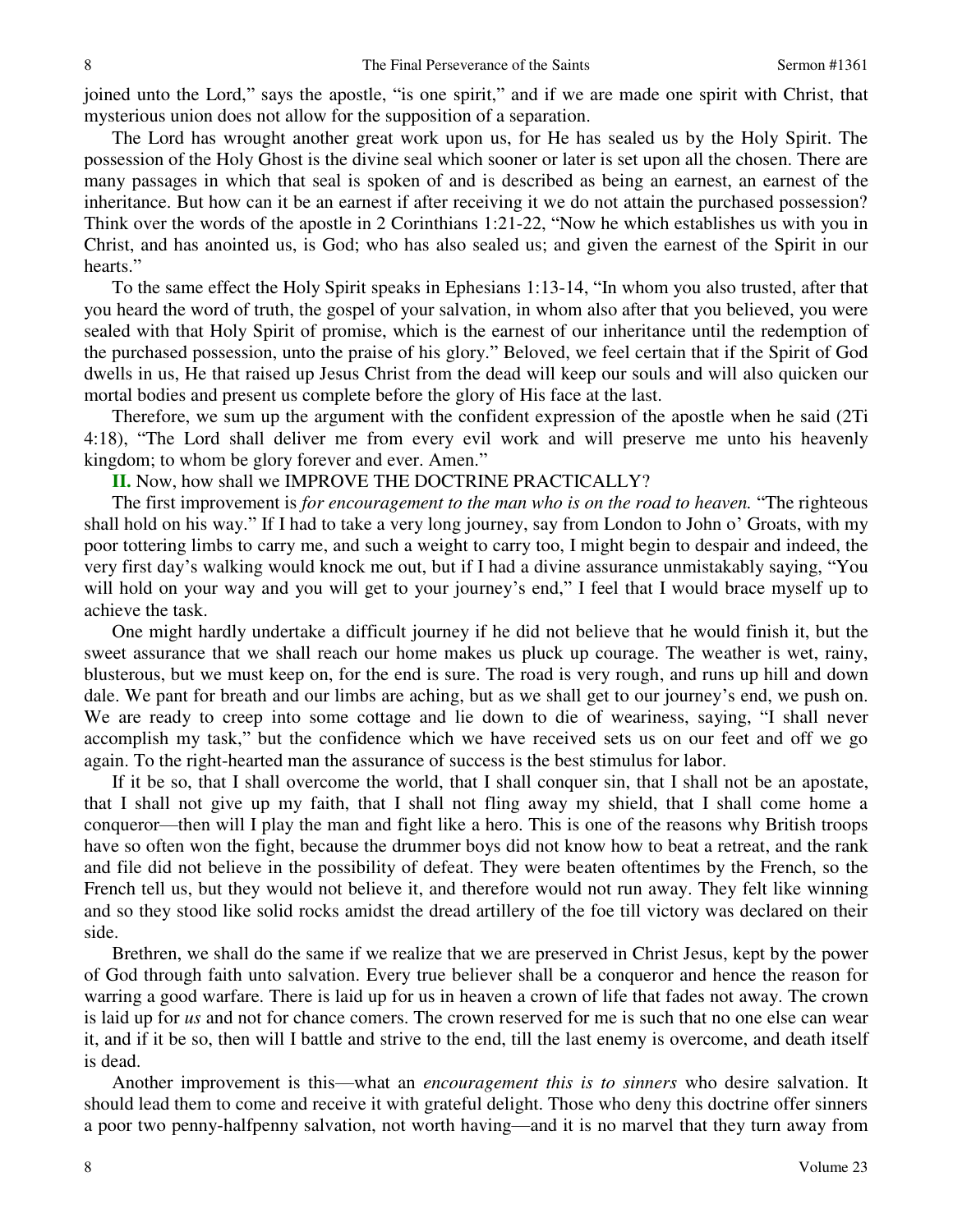joined unto the Lord," says the apostle, "is one spirit," and if we are made one spirit with Christ, that mysterious union does not allow for the supposition of a separation.

The Lord has wrought another great work upon us, for He has sealed us by the Holy Spirit. The possession of the Holy Ghost is the divine seal which sooner or later is set upon all the chosen. There are many passages in which that seal is spoken of and is described as being an earnest, an earnest of the inheritance. But how can it be an earnest if after receiving it we do not attain the purchased possession? Think over the words of the apostle in 2 Corinthians 1:21-22, "Now he which establishes us with you in Christ, and has anointed us, is God; who has also sealed us; and given the earnest of the Spirit in our hearts."

To the same effect the Holy Spirit speaks in Ephesians 1:13-14, "In whom you also trusted, after that you heard the word of truth, the gospel of your salvation, in whom also after that you believed, you were sealed with that Holy Spirit of promise, which is the earnest of our inheritance until the redemption of the purchased possession, unto the praise of his glory." Beloved, we feel certain that if the Spirit of God dwells in us, He that raised up Jesus Christ from the dead will keep our souls and will also quicken our mortal bodies and present us complete before the glory of His face at the last.

Therefore, we sum up the argument with the confident expression of the apostle when he said (2Ti 4:18), "The Lord shall deliver me from every evil work and will preserve me unto his heavenly kingdom; to whom be glory forever and ever. Amen."

#### **II.** Now, how shall we IMPROVE THE DOCTRINE PRACTICALLY?

The first improvement is *for encouragement to the man who is on the road to heaven.* "The righteous shall hold on his way." If I had to take a very long journey, say from London to John o' Groats, with my poor tottering limbs to carry me, and such a weight to carry too, I might begin to despair and indeed, the very first day's walking would knock me out, but if I had a divine assurance unmistakably saying, "You will hold on your way and you will get to your journey's end," I feel that I would brace myself up to achieve the task.

One might hardly undertake a difficult journey if he did not believe that he would finish it, but the sweet assurance that we shall reach our home makes us pluck up courage. The weather is wet, rainy, blusterous, but we must keep on, for the end is sure. The road is very rough, and runs up hill and down dale. We pant for breath and our limbs are aching, but as we shall get to our journey's end, we push on. We are ready to creep into some cottage and lie down to die of weariness, saying, "I shall never accomplish my task," but the confidence which we have received sets us on our feet and off we go again. To the right-hearted man the assurance of success is the best stimulus for labor.

If it be so, that I shall overcome the world, that I shall conquer sin, that I shall not be an apostate, that I shall not give up my faith, that I shall not fling away my shield, that I shall come home a conqueror—then will I play the man and fight like a hero. This is one of the reasons why British troops have so often won the fight, because the drummer boys did not know how to beat a retreat, and the rank and file did not believe in the possibility of defeat. They were beaten oftentimes by the French, so the French tell us, but they would not believe it, and therefore would not run away. They felt like winning and so they stood like solid rocks amidst the dread artillery of the foe till victory was declared on their side.

Brethren, we shall do the same if we realize that we are preserved in Christ Jesus, kept by the power of God through faith unto salvation. Every true believer shall be a conqueror and hence the reason for warring a good warfare. There is laid up for us in heaven a crown of life that fades not away. The crown is laid up for *us* and not for chance comers. The crown reserved for me is such that no one else can wear it, and if it be so, then will I battle and strive to the end, till the last enemy is overcome, and death itself is dead.

Another improvement is this—what an *encouragement this is to sinners* who desire salvation. It should lead them to come and receive it with grateful delight. Those who deny this doctrine offer sinners a poor two penny-halfpenny salvation, not worth having—and it is no marvel that they turn away from

8